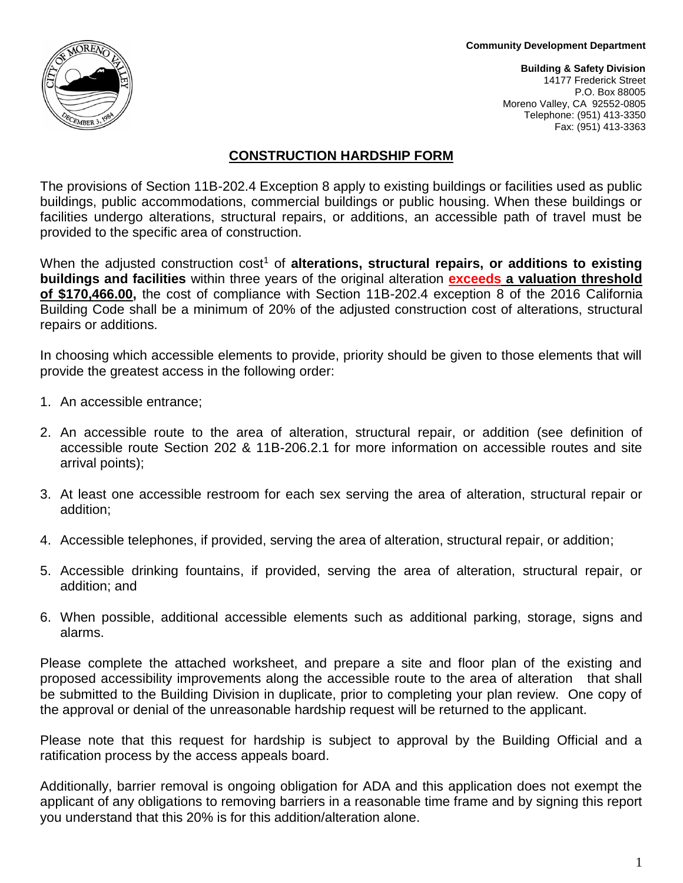#### **Community Development Department**



**Building & Safety Division** 14177 Frederick Street P.O. Box 88005 Moreno Valley, CA 92552-0805 Telephone: (951) 413-3350 Fax: (951) 413-3363

## **CONSTRUCTION HARDSHIP FORM**

The provisions of Section 11B-202.4 Exception 8 apply to existing buildings or facilities used as public buildings, public accommodations, commercial buildings or public housing. When these buildings or facilities undergo alterations, structural repairs, or additions, an accessible path of travel must be provided to the specific area of construction.

When the adjusted construction cost<sup>1</sup> of **alterations, structural repairs, or additions to existing buildings and facilities** within three years of the original alteration **exceeds a valuation threshold of \$170,466.00,** the cost of compliance with Section 11B-202.4 exception 8 of the 2016 California Building Code shall be a minimum of 20% of the adjusted construction cost of alterations, structural repairs or additions.

In choosing which accessible elements to provide, priority should be given to those elements that will provide the greatest access in the following order:

- 1. An accessible entrance;
- 2. An accessible route to the area of alteration, structural repair, or addition (see definition of accessible route Section 202 & 11B-206.2.1 for more information on accessible routes and site arrival points);
- 3. At least one accessible restroom for each sex serving the area of alteration, structural repair or addition;
- 4. Accessible telephones, if provided, serving the area of alteration, structural repair, or addition;
- 5. Accessible drinking fountains, if provided, serving the area of alteration, structural repair, or addition; and
- 6. When possible, additional accessible elements such as additional parking, storage, signs and alarms.

Please complete the attached worksheet, and prepare a site and floor plan of the existing and proposed accessibility improvements along the accessible route to the area of alteration that shall be submitted to the Building Division in duplicate, prior to completing your plan review. One copy of the approval or denial of the unreasonable hardship request will be returned to the applicant.

Please note that this request for hardship is subject to approval by the Building Official and a ratification process by the access appeals board.

Additionally, barrier removal is ongoing obligation for ADA and this application does not exempt the applicant of any obligations to removing barriers in a reasonable time frame and by signing this report you understand that this 20% is for this addition/alteration alone.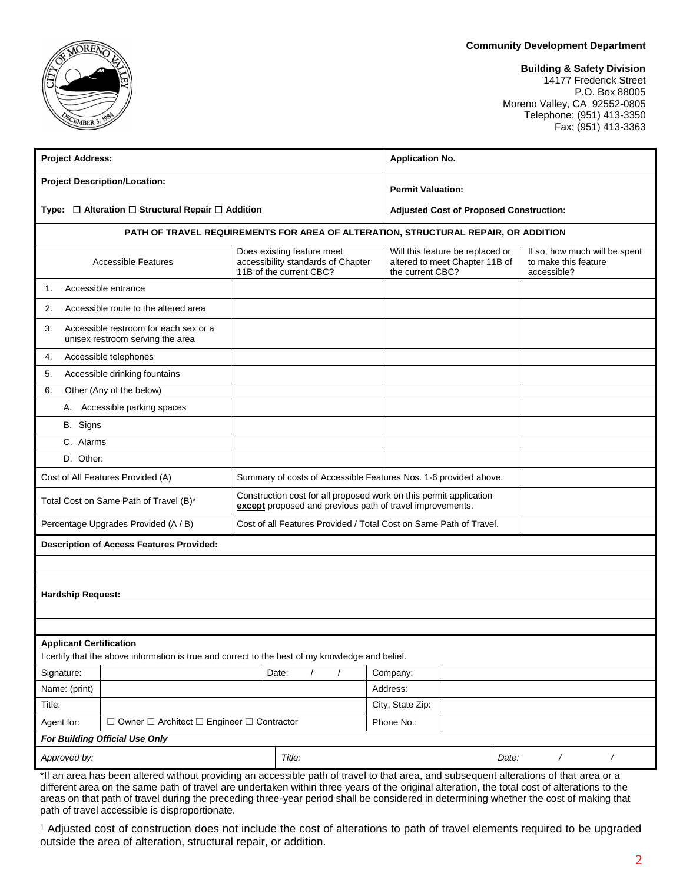#### **Community Development Department**

## **Building & Safety Division**

14177 Frederick Street P.O. Box 88005 Moreno Valley, CA 92552-0805 Telephone: (951) 413-3350 Fax: (951) 413-3363

| <b>Project Address:</b>                                                                                                                |                                      |                                                                                                                                 | <b>Application No.</b>                                                                 |                                                                      |  |  |  |  |
|----------------------------------------------------------------------------------------------------------------------------------------|--------------------------------------|---------------------------------------------------------------------------------------------------------------------------------|----------------------------------------------------------------------------------------|----------------------------------------------------------------------|--|--|--|--|
|                                                                                                                                        | <b>Project Description/Location:</b> |                                                                                                                                 | <b>Permit Valuation:</b>                                                               |                                                                      |  |  |  |  |
| Type: □ Alteration □ Structural Repair □ Addition                                                                                      |                                      |                                                                                                                                 |                                                                                        | <b>Adjusted Cost of Proposed Construction:</b>                       |  |  |  |  |
| PATH OF TRAVEL REQUIREMENTS FOR AREA OF ALTERATION, STRUCTURAL REPAIR, OR ADDITION                                                     |                                      |                                                                                                                                 |                                                                                        |                                                                      |  |  |  |  |
| <b>Accessible Features</b>                                                                                                             |                                      | Does existing feature meet<br>accessibility standards of Chapter<br>11B of the current CBC?                                     | Will this feature be replaced or<br>altered to meet Chapter 11B of<br>the current CBC? | If so, how much will be spent<br>to make this feature<br>accessible? |  |  |  |  |
| 1.                                                                                                                                     | Accessible entrance                  |                                                                                                                                 |                                                                                        |                                                                      |  |  |  |  |
| 2.                                                                                                                                     | Accessible route to the altered area |                                                                                                                                 |                                                                                        |                                                                      |  |  |  |  |
| Accessible restroom for each sex or a<br>3.<br>unisex restroom serving the area                                                        |                                      |                                                                                                                                 |                                                                                        |                                                                      |  |  |  |  |
| 4.                                                                                                                                     | Accessible telephones                |                                                                                                                                 |                                                                                        |                                                                      |  |  |  |  |
| Accessible drinking fountains<br>5.                                                                                                    |                                      |                                                                                                                                 |                                                                                        |                                                                      |  |  |  |  |
| 6.                                                                                                                                     | Other (Any of the below)             |                                                                                                                                 |                                                                                        |                                                                      |  |  |  |  |
| А.                                                                                                                                     | Accessible parking spaces            |                                                                                                                                 |                                                                                        |                                                                      |  |  |  |  |
| B. Signs                                                                                                                               |                                      |                                                                                                                                 |                                                                                        |                                                                      |  |  |  |  |
| C. Alarms                                                                                                                              |                                      |                                                                                                                                 |                                                                                        |                                                                      |  |  |  |  |
| D. Other:                                                                                                                              |                                      |                                                                                                                                 |                                                                                        |                                                                      |  |  |  |  |
| Cost of All Features Provided (A)                                                                                                      |                                      | Summary of costs of Accessible Features Nos. 1-6 provided above.                                                                |                                                                                        |                                                                      |  |  |  |  |
| Total Cost on Same Path of Travel (B)*                                                                                                 |                                      | Construction cost for all proposed work on this permit application<br>except proposed and previous path of travel improvements. |                                                                                        |                                                                      |  |  |  |  |
| Percentage Upgrades Provided (A / B)                                                                                                   |                                      | Cost of all Features Provided / Total Cost on Same Path of Travel.                                                              |                                                                                        |                                                                      |  |  |  |  |
| <b>Description of Access Features Provided:</b>                                                                                        |                                      |                                                                                                                                 |                                                                                        |                                                                      |  |  |  |  |
|                                                                                                                                        |                                      |                                                                                                                                 |                                                                                        |                                                                      |  |  |  |  |
|                                                                                                                                        |                                      |                                                                                                                                 |                                                                                        |                                                                      |  |  |  |  |
| <b>Hardship Request:</b>                                                                                                               |                                      |                                                                                                                                 |                                                                                        |                                                                      |  |  |  |  |
|                                                                                                                                        |                                      |                                                                                                                                 |                                                                                        |                                                                      |  |  |  |  |
|                                                                                                                                        |                                      |                                                                                                                                 |                                                                                        |                                                                      |  |  |  |  |
| <b>Applicant Certification</b><br>I certify that the above information is true and correct to the best of my knowledge and belief.     |                                      |                                                                                                                                 |                                                                                        |                                                                      |  |  |  |  |
| Signature:                                                                                                                             |                                      | Date:                                                                                                                           | Company:                                                                               |                                                                      |  |  |  |  |
| Name: (print)                                                                                                                          |                                      |                                                                                                                                 | Address:                                                                               |                                                                      |  |  |  |  |
| Title:                                                                                                                                 |                                      | City, State Zip:                                                                                                                |                                                                                        |                                                                      |  |  |  |  |
| $\Box$ Owner $\Box$ Architect $\Box$ Engineer $\Box$ Contractor<br>Agent for:                                                          |                                      | Phone No.:                                                                                                                      |                                                                                        |                                                                      |  |  |  |  |
| For Building Official Use Only                                                                                                         |                                      |                                                                                                                                 |                                                                                        |                                                                      |  |  |  |  |
| Approved by:                                                                                                                           |                                      | Title:                                                                                                                          |                                                                                        | Date:<br>$\sqrt{2}$<br>$\overline{\phantom{a}}$                      |  |  |  |  |
| *If an area has been altered without providing an accessible path of travel to that area, and subsequent alterations of that area or a |                                      |                                                                                                                                 |                                                                                        |                                                                      |  |  |  |  |

different area on the same path of travel are undertaken within three years of the original alteration, the total cost of alterations to the areas on that path of travel during the preceding three-year period shall be considered in determining whether the cost of making that path of travel accessible is disproportionate.

<sup>1</sup> Adjusted cost of construction does not include the cost of alterations to path of travel elements required to be upgraded outside the area of alteration, structural repair, or addition.